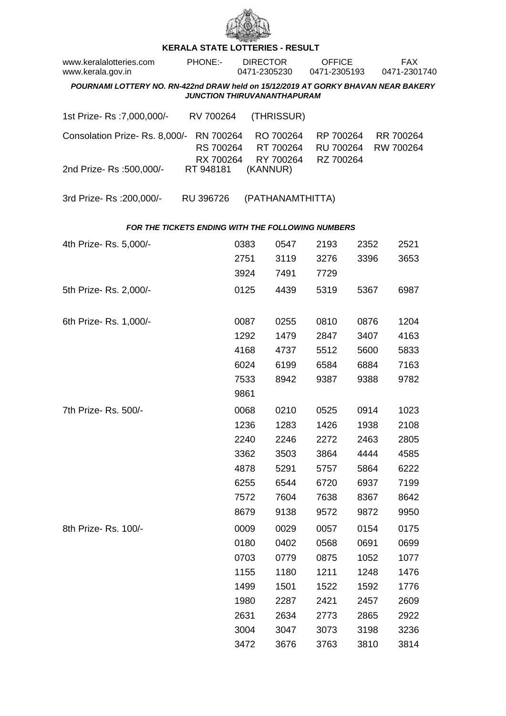

## **KERALA STATE LOTTERIES - RESULT**

| www.keralalotteries.com<br>www.kerala.gov.in                                                                            |  | <b>PHONE:-</b>                      |      | <b>DIRECTOR</b><br>0471-2305230                          | <b>OFFICE</b><br>0471-2305193       |      | FAX<br>0471-2301740 |                        |  |  |  |
|-------------------------------------------------------------------------------------------------------------------------|--|-------------------------------------|------|----------------------------------------------------------|-------------------------------------|------|---------------------|------------------------|--|--|--|
| POURNAMI LOTTERY NO. RN-422nd DRAW held on 15/12/2019 AT GORKY BHAVAN NEAR BAKERY<br><b>JUNCTION THIRUVANANTHAPURAM</b> |  |                                     |      |                                                          |                                     |      |                     |                        |  |  |  |
| 1st Prize- Rs : 7,000,000/-                                                                                             |  | RV 700264                           |      | (THRISSUR)                                               |                                     |      |                     |                        |  |  |  |
| Consolation Prize-Rs. 8,000/-                                                                                           |  | RN 700264<br>RS 700264<br>RX 700264 |      | RO 700264<br>RT 700264<br>RY 700264                      | RP 700264<br>RU 700264<br>RZ 700264 |      |                     | RR 700264<br>RW 700264 |  |  |  |
| 2nd Prize- Rs :500,000/-                                                                                                |  | RT 948181                           |      | (KANNUR)                                                 |                                     |      |                     |                        |  |  |  |
| 3rd Prize-Rs : 200,000/-                                                                                                |  | RU 396726                           |      | (PATHANAMTHITTA)                                         |                                     |      |                     |                        |  |  |  |
|                                                                                                                         |  |                                     |      | <b>FOR THE TICKETS ENDING WITH THE FOLLOWING NUMBERS</b> |                                     |      |                     |                        |  |  |  |
| 4th Prize-Rs. 5,000/-                                                                                                   |  |                                     | 0383 | 0547                                                     | 2193                                | 2352 |                     | 2521                   |  |  |  |
|                                                                                                                         |  |                                     | 2751 | 3119                                                     | 3276                                | 3396 |                     | 3653                   |  |  |  |
|                                                                                                                         |  |                                     | 3924 | 7491                                                     | 7729                                |      |                     |                        |  |  |  |
| 5th Prize-Rs. 2,000/-                                                                                                   |  |                                     | 0125 | 4439                                                     | 5319                                | 5367 |                     | 6987                   |  |  |  |
| 6th Prize-Rs. 1,000/-                                                                                                   |  |                                     | 0087 | 0255                                                     | 0810                                | 0876 |                     | 1204                   |  |  |  |
|                                                                                                                         |  |                                     | 1292 | 1479                                                     | 2847                                | 3407 |                     | 4163                   |  |  |  |
|                                                                                                                         |  |                                     | 4168 | 4737                                                     | 5512                                | 5600 |                     | 5833                   |  |  |  |
|                                                                                                                         |  |                                     | 6024 | 6199                                                     | 6584                                | 6884 |                     | 7163                   |  |  |  |
|                                                                                                                         |  |                                     | 7533 | 8942                                                     | 9387                                | 9388 |                     | 9782                   |  |  |  |
|                                                                                                                         |  |                                     | 9861 |                                                          |                                     |      |                     |                        |  |  |  |
| 7th Prize-Rs. 500/-                                                                                                     |  |                                     | 0068 | 0210                                                     | 0525                                | 0914 |                     | 1023                   |  |  |  |
|                                                                                                                         |  |                                     | 1236 | 1283                                                     | 1426                                | 1938 |                     | 2108                   |  |  |  |
|                                                                                                                         |  |                                     | 2240 | 2246                                                     | 2272                                | 2463 |                     | 2805                   |  |  |  |
|                                                                                                                         |  |                                     | 3362 | 3503                                                     | 3864                                | 4444 |                     | 4585                   |  |  |  |
|                                                                                                                         |  |                                     | 4878 | 5291                                                     | 5757                                | 5864 |                     | 6222                   |  |  |  |
|                                                                                                                         |  |                                     | 6255 | 6544                                                     | 6720                                | 6937 |                     | 7199                   |  |  |  |
|                                                                                                                         |  |                                     | 7572 | 7604                                                     | 7638                                | 8367 |                     | 8642                   |  |  |  |
|                                                                                                                         |  |                                     | 8679 | 9138                                                     | 9572                                | 9872 |                     | 9950                   |  |  |  |
| 8th Prize-Rs. 100/-                                                                                                     |  |                                     | 0009 | 0029                                                     | 0057                                | 0154 |                     | 0175                   |  |  |  |
|                                                                                                                         |  |                                     | 0180 | 0402                                                     | 0568                                | 0691 |                     | 0699                   |  |  |  |
|                                                                                                                         |  |                                     | 0703 | 0779                                                     | 0875                                | 1052 |                     | 1077                   |  |  |  |
|                                                                                                                         |  |                                     | 1155 | 1180                                                     | 1211                                | 1248 |                     | 1476                   |  |  |  |
|                                                                                                                         |  |                                     | 1499 | 1501                                                     | 1522                                | 1592 |                     | 1776                   |  |  |  |
|                                                                                                                         |  |                                     | 1980 | 2287                                                     | 2421                                | 2457 |                     | 2609                   |  |  |  |
|                                                                                                                         |  |                                     | 2631 | 2634                                                     | 2773                                | 2865 |                     | 2922                   |  |  |  |
|                                                                                                                         |  |                                     | 3004 | 3047                                                     | 3073                                | 3198 |                     | 3236                   |  |  |  |
|                                                                                                                         |  |                                     | 3472 | 3676                                                     | 3763                                | 3810 |                     | 3814                   |  |  |  |